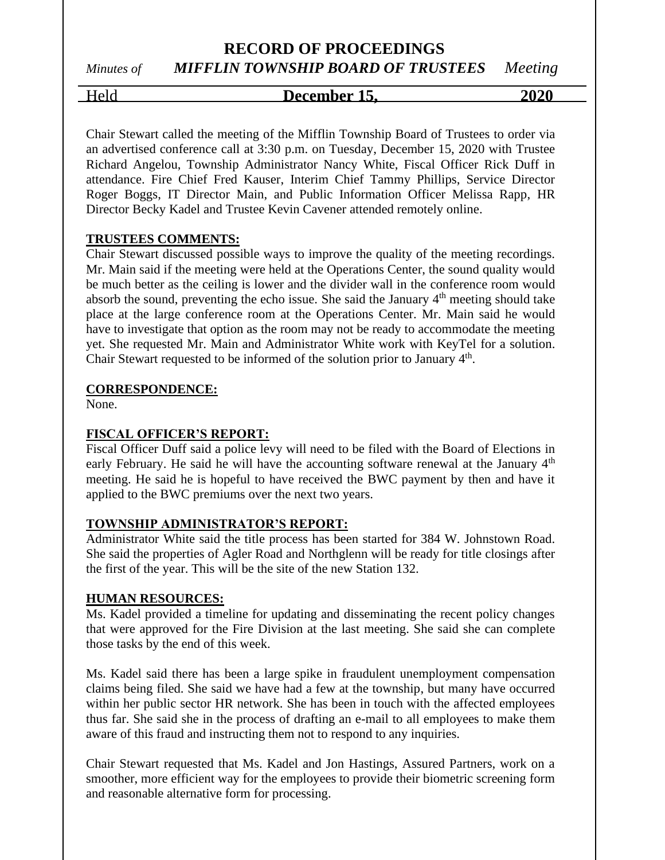## **RECORD OF PROCEEDINGS** *Minutes of MIFFLIN TOWNSHIP BOARD OF TRUSTEES Meeting*

# Held **December 15, 2020**

Chair Stewart called the meeting of the Mifflin Township Board of Trustees to order via an advertised conference call at 3:30 p.m. on Tuesday, December 15, 2020 with Trustee Richard Angelou, Township Administrator Nancy White, Fiscal Officer Rick Duff in attendance. Fire Chief Fred Kauser, Interim Chief Tammy Phillips, Service Director Roger Boggs, IT Director Main, and Public Information Officer Melissa Rapp, HR Director Becky Kadel and Trustee Kevin Cavener attended remotely online.

## **TRUSTEES COMMENTS:**

Chair Stewart discussed possible ways to improve the quality of the meeting recordings. Mr. Main said if the meeting were held at the Operations Center, the sound quality would be much better as the ceiling is lower and the divider wall in the conference room would absorb the sound, preventing the echo issue. She said the January  $4<sup>th</sup>$  meeting should take place at the large conference room at the Operations Center. Mr. Main said he would have to investigate that option as the room may not be ready to accommodate the meeting yet. She requested Mr. Main and Administrator White work with KeyTel for a solution. Chair Stewart requested to be informed of the solution prior to January  $4<sup>th</sup>$ .

## **CORRESPONDENCE:**

None.

## **FISCAL OFFICER'S REPORT:**

Fiscal Officer Duff said a police levy will need to be filed with the Board of Elections in early February. He said he will have the accounting software renewal at the January 4<sup>th</sup> meeting. He said he is hopeful to have received the BWC payment by then and have it applied to the BWC premiums over the next two years.

## **TOWNSHIP ADMINISTRATOR'S REPORT:**

Administrator White said the title process has been started for 384 W. Johnstown Road. She said the properties of Agler Road and Northglenn will be ready for title closings after the first of the year. This will be the site of the new Station 132.

## **HUMAN RESOURCES:**

Ms. Kadel provided a timeline for updating and disseminating the recent policy changes that were approved for the Fire Division at the last meeting. She said she can complete those tasks by the end of this week.

Ms. Kadel said there has been a large spike in fraudulent unemployment compensation claims being filed. She said we have had a few at the township, but many have occurred within her public sector HR network. She has been in touch with the affected employees thus far. She said she in the process of drafting an e-mail to all employees to make them aware of this fraud and instructing them not to respond to any inquiries.

Chair Stewart requested that Ms. Kadel and Jon Hastings, Assured Partners, work on a smoother, more efficient way for the employees to provide their biometric screening form and reasonable alternative form for processing.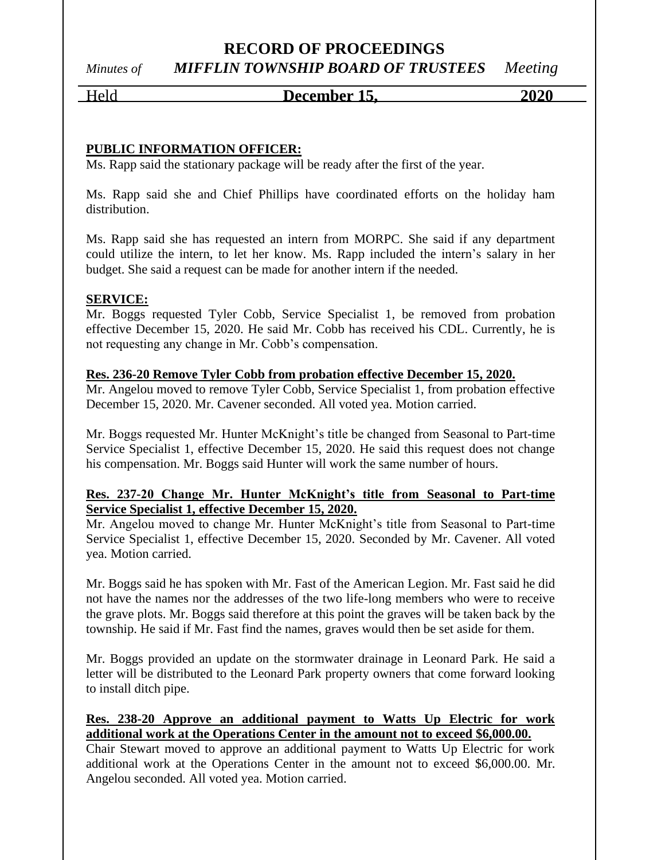## **RECORD OF PROCEEDINGS** *Minutes of MIFFLIN TOWNSHIP BOARD OF TRUSTEES Meeting*

## Held **December 15, 2020**

## **PUBLIC INFORMATION OFFICER:**

Ms. Rapp said the stationary package will be ready after the first of the year.

Ms. Rapp said she and Chief Phillips have coordinated efforts on the holiday ham distribution.

Ms. Rapp said she has requested an intern from MORPC. She said if any department could utilize the intern, to let her know. Ms. Rapp included the intern's salary in her budget. She said a request can be made for another intern if the needed.

## **SERVICE:**

Mr. Boggs requested Tyler Cobb, Service Specialist 1, be removed from probation effective December 15, 2020. He said Mr. Cobb has received his CDL. Currently, he is not requesting any change in Mr. Cobb's compensation.

## **Res. 236-20 Remove Tyler Cobb from probation effective December 15, 2020.**

Mr. Angelou moved to remove Tyler Cobb, Service Specialist 1, from probation effective December 15, 2020. Mr. Cavener seconded. All voted yea. Motion carried.

Mr. Boggs requested Mr. Hunter McKnight's title be changed from Seasonal to Part-time Service Specialist 1, effective December 15, 2020. He said this request does not change his compensation. Mr. Boggs said Hunter will work the same number of hours.

## **Res. 237-20 Change Mr. Hunter McKnight's title from Seasonal to Part-time Service Specialist 1, effective December 15, 2020.**

Mr. Angelou moved to change Mr. Hunter McKnight's title from Seasonal to Part-time Service Specialist 1, effective December 15, 2020. Seconded by Mr. Cavener. All voted yea. Motion carried.

Mr. Boggs said he has spoken with Mr. Fast of the American Legion. Mr. Fast said he did not have the names nor the addresses of the two life-long members who were to receive the grave plots. Mr. Boggs said therefore at this point the graves will be taken back by the township. He said if Mr. Fast find the names, graves would then be set aside for them.

Mr. Boggs provided an update on the stormwater drainage in Leonard Park. He said a letter will be distributed to the Leonard Park property owners that come forward looking to install ditch pipe.

## **Res. 238-20 Approve an additional payment to Watts Up Electric for work additional work at the Operations Center in the amount not to exceed \$6,000.00.**

Chair Stewart moved to approve an additional payment to Watts Up Electric for work additional work at the Operations Center in the amount not to exceed \$6,000.00. Mr. Angelou seconded. All voted yea. Motion carried.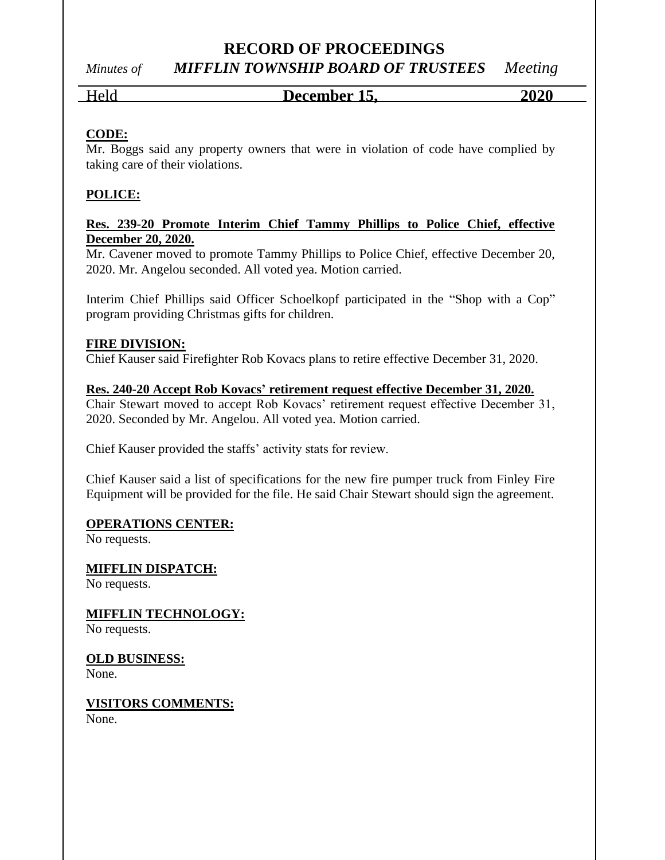## **RECORD OF PROCEEDINGS**

*Minutes of MIFFLIN TOWNSHIP BOARD OF TRUSTEES Meeting*

## Held **December 15, 2020**

## **CODE:**

Mr. Boggs said any property owners that were in violation of code have complied by taking care of their violations.

## **POLICE:**

## **Res. 239-20 Promote Interim Chief Tammy Phillips to Police Chief, effective December 20, 2020.**

Mr. Cavener moved to promote Tammy Phillips to Police Chief, effective December 20, 2020. Mr. Angelou seconded. All voted yea. Motion carried.

Interim Chief Phillips said Officer Schoelkopf participated in the "Shop with a Cop" program providing Christmas gifts for children.

## **FIRE DIVISION:**

Chief Kauser said Firefighter Rob Kovacs plans to retire effective December 31, 2020.

**Res. 240-20 Accept Rob Kovacs' retirement request effective December 31, 2020.** Chair Stewart moved to accept Rob Kovacs' retirement request effective December 31,

2020. Seconded by Mr. Angelou. All voted yea. Motion carried.

Chief Kauser provided the staffs' activity stats for review.

Chief Kauser said a list of specifications for the new fire pumper truck from Finley Fire Equipment will be provided for the file. He said Chair Stewart should sign the agreement.

## **OPERATIONS CENTER:**

No requests.

## **MIFFLIN DISPATCH:**

No requests.

## **MIFFLIN TECHNOLOGY:**

No requests.

## **OLD BUSINESS:**

None.

## **VISITORS COMMENTS:**

None.